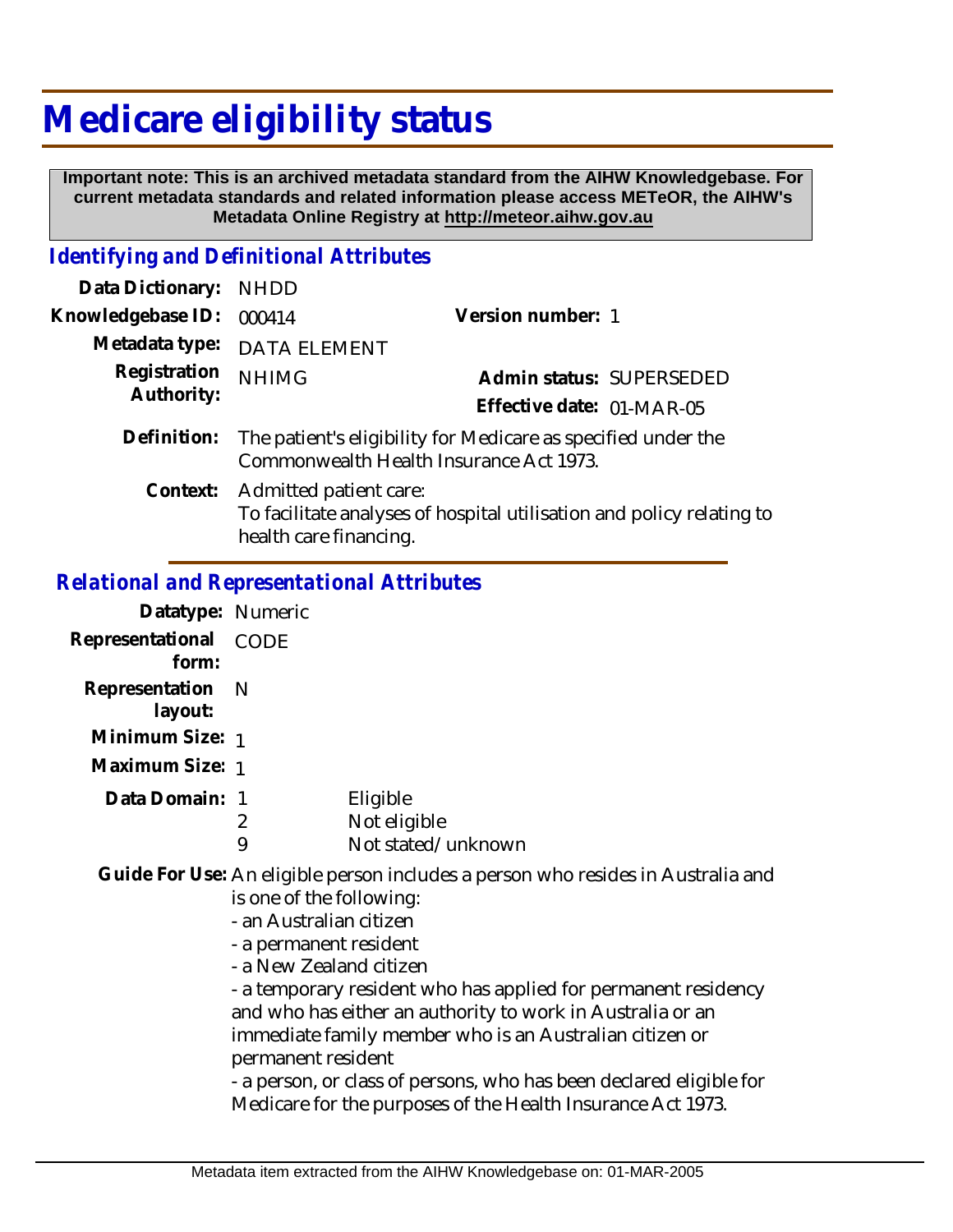## **Medicare eligibility status**

 **Important note: This is an archived metadata standard from the AIHW Knowledgebase. For current metadata standards and related information please access METeOR, the AIHW's Metadata Online Registry at http://meteor.aihw.gov.au**

## *Identifying and Definitional Attributes*

| Data Dictionary:           | NHDD                                                                                                                      |                                                       |  |
|----------------------------|---------------------------------------------------------------------------------------------------------------------------|-------------------------------------------------------|--|
| Knowledgebase ID:          | 000414                                                                                                                    | Version number: 1                                     |  |
|                            | Metadata type: DATA ELEMENT                                                                                               |                                                       |  |
| Registration<br>Authority: | <b>NHIMG</b>                                                                                                              | Admin status: SUPERSEDED<br>Effective date: 01-MAR-05 |  |
| Definition:                | The patient's eligibility for Medicare as specified under the<br>Commonwealth Health Insurance Act 1973.                  |                                                       |  |
| Context:                   | Admitted patient care:<br>To facilitate analyses of hospital utilisation and policy relating to<br>health care financing. |                                                       |  |

## *Relational and Representational Attributes*

| Datatype: Numeric           |      |                    |
|-----------------------------|------|--------------------|
| Representational<br>form:   | CODE |                    |
| Representation N<br>layout: |      |                    |
| Minimum Size: 1             |      |                    |
| Maximum Size: 1             |      |                    |
| Data Domain: 1              |      | Eligible           |
|                             | 2    | Not eligible       |
|                             |      | Not stated/unknown |

Guide For Use: An eligible person includes a person who resides in Australia and is one of the following:

- an Australian citizen
- a permanent resident
- a New Zealand citizen

- a temporary resident who has applied for permanent residency and who has either an authority to work in Australia or an immediate family member who is an Australian citizen or permanent resident

- a person, or class of persons, who has been declared eligible for Medicare for the purposes of the Health Insurance Act 1973.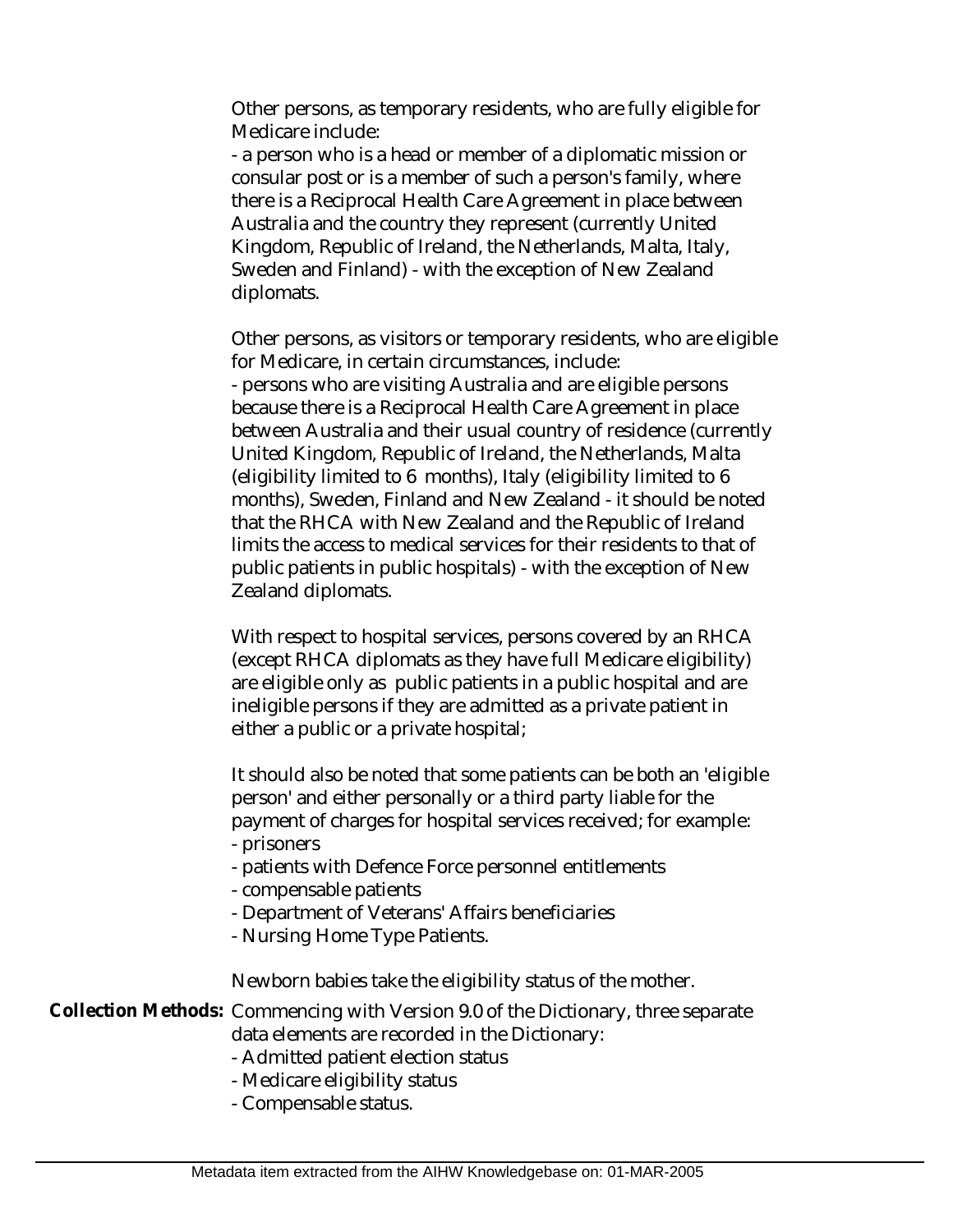Other persons, as temporary residents, who are fully eligible for Medicare include:

- a person who is a head or member of a diplomatic mission or consular post or is a member of such a person's family, where there is a Reciprocal Health Care Agreement in place between Australia and the country they represent (currently United Kingdom, Republic of Ireland, the Netherlands, Malta, Italy, Sweden and Finland) - with the exception of New Zealand diplomats.

Other persons, as visitors or temporary residents, who are eligible for Medicare, in certain circumstances, include: - persons who are visiting Australia and are eligible persons because there is a Reciprocal Health Care Agreement in place between Australia and their usual country of residence (currently United Kingdom, Republic of Ireland, the Netherlands, Malta (eligibility limited to 6 months), Italy (eligibility limited to 6 months), Sweden, Finland and New Zealand - it should be noted that the RHCA with New Zealand and the Republic of Ireland limits the access to medical services for their residents to that of public patients in public hospitals) - with the exception of New Zealand diplomats.

With respect to hospital services, persons covered by an RHCA (except RHCA diplomats as they have full Medicare eligibility) are eligible only as public patients in a public hospital and are ineligible persons if they are admitted as a private patient in either a public or a private hospital;

It should also be noted that some patients can be both an 'eligible person' and either personally or a third party liable for the payment of charges for hospital services received; for example: - prisoners

- patients with Defence Force personnel entitlements
- compensable patients
- Department of Veterans' Affairs beneficiaries
- Nursing Home Type Patients.

Newborn babies take the eligibility status of the mother.

Collection Methods: Commencing with Version 9.0 of the Dictionary, three separate data elements are recorded in the Dictionary:

- Admitted patient election status
- Medicare eligibility status
- Compensable status.